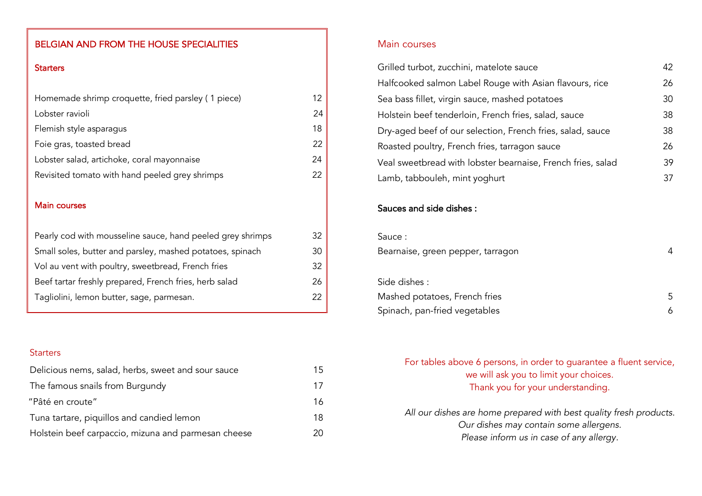## BELGIAN AND FROM THE HOUSE SPECIALITIES

#### **Starters**

| Homemade shrimp croquette, fried parsley (1 piece) | 12 |
|----------------------------------------------------|----|
| Lobster ravioli                                    | 24 |
| Flemish style asparagus                            | 18 |
| Foie gras, toasted bread                           | 22 |
| Lobster salad, artichoke, coral mayonnaise         | 24 |
| Revisited tomato with hand peeled grey shrimps     | 22 |
|                                                    |    |

#### Main courses

| Pearly cod with mousseline sauce, hand peeled grey shrimps | 32. |
|------------------------------------------------------------|-----|
| Small soles, butter and parsley, mashed potatoes, spinach  | 30. |
| Vol au vent with poultry, sweetbread, French fries         | 32. |
| Beef tartar freshly prepared, French fries, herb salad     | 26. |
| Tagliolini, lemon butter, sage, parmesan.                  | 22  |

#### **Starters**

| Delicious nems, salad, herbs, sweet and sour sauce  | 15 |
|-----------------------------------------------------|----|
| The famous snails from Burgundy                     | 17 |
| "Pâté en croute"                                    | 16 |
| Tuna tartare, piquillos and candied lemon           | 18 |
| Holstein beef carpaccio, mizuna and parmesan cheese | 20 |

#### Main courses

| Grilled turbot, zucchini, matelote sauce                    | 42  |
|-------------------------------------------------------------|-----|
| Halfcooked salmon Label Rouge with Asian flavours, rice     | 26  |
| Sea bass fillet, virgin sauce, mashed potatoes              | 30  |
| Holstein beef tenderloin, French fries, salad, sauce        | 38  |
| Dry-aged beef of our selection, French fries, salad, sauce  | 38  |
| Roasted poultry, French fries, tarragon sauce               | 26  |
| Veal sweetbread with lobster bearnaise, French fries, salad | 39. |
| Lamb, tabbouleh, mint yoghurt                               | 37  |

# Sauces and side dishes :

| Sauce:                            |   |
|-----------------------------------|---|
| Bearnaise, green pepper, tarragon |   |
|                                   |   |
| Side dishes:                      |   |
| Mashed potatoes, French fries     | 5 |
| Spinach, pan-fried vegetables     |   |

# For tables above 6 persons, in order to guarantee a fluent service, we will ask you to limit your choices. Thank you for your understanding.

*All our dishes are home prepared with best quality fresh products. Our dishes may contain some allergens. Please inform us in case of any allergy.*